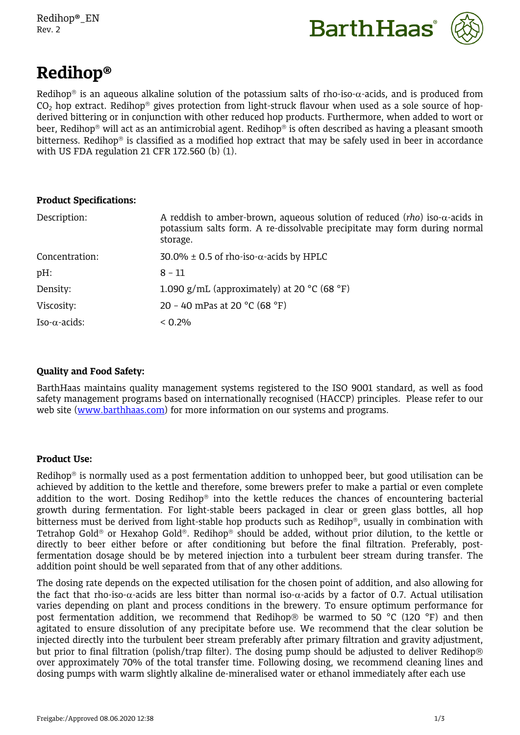

# **Redihop®**

Redihop<sup>®</sup> is an aqueous alkaline solution of the potassium salts of rho-iso- $\alpha$ -acids, and is produced from  $CO<sub>2</sub>$  hop extract. Redihop<sup>®</sup> gives protection from light-struck flavour when used as a sole source of hopderived bittering or in conjunction with other reduced hop products. Furthermore, when added to wort or beer, Redihop<sup>®</sup> will act as an antimicrobial agent. Redihop<sup>®</sup> is often described as having a pleasant smooth bitterness. Redihop<sup>®</sup> is classified as a modified hop extract that may be safely used in beer in accordance with US FDA regulation 21 CFR 172.560 (b) (1).

# **Product Specifications:**

| Description:          | A reddish to amber-brown, aqueous solution of reduced ( <i>rho</i> ) iso- $\alpha$ -acids in<br>potassium salts form. A re-dissolvable precipitate may form during normal<br>storage. |
|-----------------------|---------------------------------------------------------------------------------------------------------------------------------------------------------------------------------------|
| Concentration:        | $30.0\% \pm 0.5$ of rho-iso- $\alpha$ -acids by HPLC                                                                                                                                  |
| pH:                   | $8 - 11$                                                                                                                                                                              |
| Density:              | 1.090 g/mL (approximately) at 20 $^{\circ}$ C (68 $^{\circ}$ F)                                                                                                                       |
| Viscosity:            | 20 - 40 mPas at 20 °C (68 °F)                                                                                                                                                         |
| Iso- $\alpha$ -acids: | < 0.2%                                                                                                                                                                                |

# **Quality and Food Safety:**

BarthHaas maintains quality management systems registered to the ISO 9001 standard, as well as food safety management programs based on internationally recognised (HACCP) principles. Please refer to our web site ([www.barthhaas.com](http://www.barthhaas.com/)) for more information on our systems and programs.

# **Product Use:**

Redihop<sup>®</sup> is normally used as a post fermentation addition to unhopped beer, but good utilisation can be achieved by addition to the kettle and therefore, some brewers prefer to make a partial or even complete addition to the wort. Dosing Redihop<sup>®</sup> into the kettle reduces the chances of encountering bacterial growth during fermentation. For light-stable beers packaged in clear or green glass bottles, all hop bitterness must be derived from light-stable hop products such as Redihop®, usually in combination with Tetrahop Gold<sup>®</sup> or Hexahop Gold<sup>®</sup>. Redihop<sup>®</sup> should be added, without prior dilution, to the kettle or directly to beer either before or after conditioning but before the final filtration. Preferably, postfermentation dosage should be by metered injection into a turbulent beer stream during transfer. The addition point should be well separated from that of any other additions.

The dosing rate depends on the expected utilisation for the chosen point of addition, and also allowing for the fact that rho-iso- $\alpha$ -acids are less bitter than normal iso- $\alpha$ -acids by a factor of 0.7. Actual utilisation varies depending on plant and process conditions in the brewery. To ensure optimum performance for post fermentation addition, we recommend that Redihop  $\otimes$  be warmed to 50 °C (120 °F) and then agitated to ensure dissolution of any precipitate before use. We recommend that the clear solution be injected directly into the turbulent beer stream preferably after primary filtration and gravity adjustment, but prior to final filtration (polish/trap filter). The dosing pump should be adjusted to deliver Redihop® over approximately 70% of the total transfer time. Following dosing, we recommend cleaning lines and dosing pumps with warm slightly alkaline de-mineralised water or ethanol immediately after each use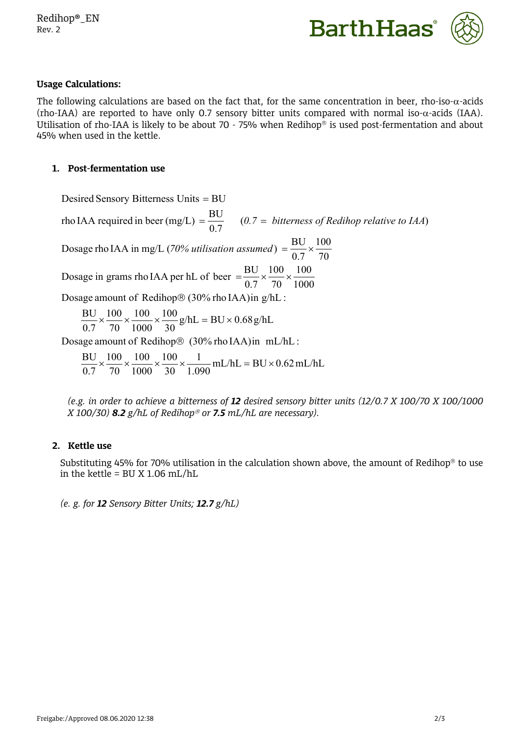

### **Usage Calculations:**

The following calculations are based on the fact that, for the same concentration in beer, rho-iso- $\alpha$ -acids (rho-IAA) are reported to have only 0.7 sensory bitter units compared with normal iso- $\alpha$ -acids (IAA). Utilisation of rho-IAA is likely to be about 70 - 75% when Redihop<sup>®</sup> is used post-fermentation and about 45% when used in the kettle.

#### **1. Post-fermentation use**

Desired Sensory Bitterness Units = BU

 $mL/hL = BU \times 0.62 \, mL/hL$  $1.090$   $\overline{ }$   $\overline{ }$   $\overline{ }$   $\overline{ }$   $\overline{ }$   $\overline{ }$   $\overline{ }$   $\overline{ }$   $\overline{ }$   $\overline{ }$   $\overline{ }$   $\overline{ }$   $\overline{ }$   $\overline{ }$   $\overline{ }$   $\overline{ }$   $\overline{ }$   $\overline{ }$   $\overline{ }$   $\overline{ }$   $\overline{ }$   $\overline{ }$   $\overline{ }$   $\overline{ }$   $\overline{ }$   $\overline{ }$   $\overline{$  $1 \t\t \text{or} \t\t \text{at}$   $\text{DIL} \cdot \text{O} \cdot \text{C} \cdot \text{L}$  $30 \quad 1.090 \quad \text{m}$  $100 \t 1 \t \t 100 \t 100 \t 100 \t 100 \t 100 \t 100 \t 100 \t 100 \t 100 \t 100 \t 100 \t 100 \t 100 \t 100 \t 100 \t 100 \t 100 \t 100 \t 100 \t 100 \t 100 \t 100 \t 100 \t 100 \t 100 \t 100 \t 100 \t 100 \t 100 \t 100 \t 100 \t 100 \t 100 \t 100 \t 100 \$  $1000 \quad 30 \quad 1.090 \quad \text{m}$ 100  $70\quad 1000\quad 30\quad 1.090$  $100 \t 100 \t 100 \t 1 \t \text{mJ/L} \t \text{pJ}$  $0.7$  70 1000 30 1.090  $\frac{BU}{2} \times \frac{100}{20} \times \frac{100}{200} \times \frac{1}{200} \times \frac{1}{2000}$  mL/hL = BU × 0.62 mL/hL Dosage amount of Redihop® (30% rho IAA)in mL/hL :  $g/hL = BU \times 0.68 g/hL$  $30e^{m}$  $100$   $4.7$   $\text{P11} \cdot 0.69$   $4.7$  $1000 \t 30$   $5 \t 1000$  $100 \t 100 \t 100 \t 100 \t 100 \t 100 \t 100 \t 100 \t 100 \t 100 \t 100 \t 100 \t 100 \t 100 \t 100 \t 100 \t 100 \t 100 \t 100 \t 100 \t 100 \t 100 \t 100 \t 100 \t 100 \t 100 \t 100 \t 100 \t 100 \t 100 \t 100 \t 100 \t 100 \t 100 \t 100 \t 100 \t 100 \$  $70\quad 1000\quad 30$  $100 \t 100 \t 100$  $0.7 \quad 70 \quad 1000 \quad 30$  $\frac{BU}{2} \times \frac{100}{200} \times \frac{100}{2000} \times \frac{100}{200} g/hL = BU \times 0.68 g/hL$ Dosage amount of Redihop® (30% rho IAA)in g/hL : 1000 100 70 100 100 0.7 70 1000 Dosage in grams rho IAA per hL of beer  $=$   $\frac{BU}{25} \times \frac{100}{100} \times \frac{100}{1000}$ 70 100 0.7 Dosage rho IAA in mg/L (70% *utilisation assumed*) =  $\frac{BU}{2.7} \times \frac{100}{7.2}$ rho IAA required in beer (mg/L) =  $\frac{BU}{0.7}$  (0.7 = bitterness of Redihop relative to IAA)

*(e.g. in order to achieve a bitterness of 12 desired sensory bitter units (12/0.7 X 100/70 X 100/1000 X 100/30) 8.2 g/hL of Redihop or 7.5 mL/hL are necessary).*

#### **2. Kettle use**

Substituting 45% for 70% utilisation in the calculation shown above, the amount of Redihop<sup>®</sup> to use in the kettle =  $BU X 1.06 mL/hL$ 

*(e. g. for 12 Sensory Bitter Units; 12.7 g/hL)*